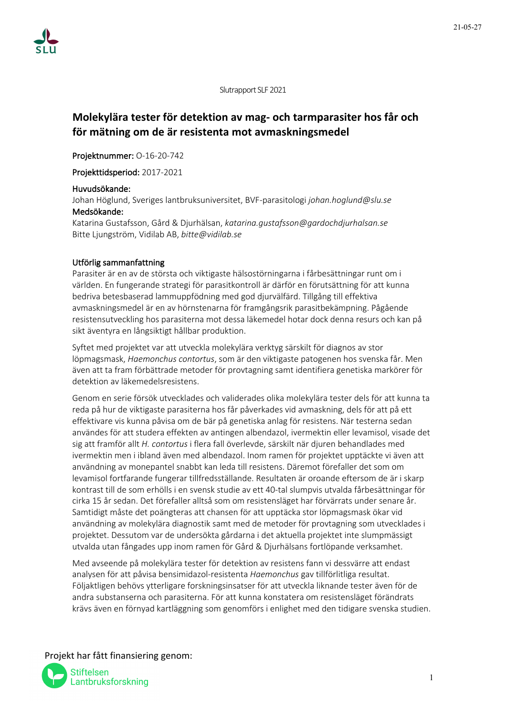Slutrapport SLF 2021

# **Molekylära tester för detektion av mag- och tarmparasiter hos får och för mätning om de är resistenta mot avmaskningsmedel**

Projektnummer: O-16-20-742

Projekttidsperiod: 2017-2021

# Huvudsökande:

Johan Höglund, Sveriges lantbruksuniversitet, BVF-parasitologi *johan.hoglund@slu.se* Medsökande:

Katarina Gustafsson, Gård & Djurhälsan, *katarina.gustafsson@gardochdjurhalsan.se* Bitte Ljungström, Vidilab AB, *bitte@vidilab.se*

# Utförlig sammanfattning

Parasiter är en av de största och viktigaste hälsostörningarna i fårbesättningar runt om i världen. En fungerande strategi för parasitkontroll är därför en förutsättning för att kunna bedriva betesbaserad lammuppfödning med god djurvälfärd. Tillgång till effektiva avmaskningsmedel är en av hörnstenarna för framgångsrik parasitbekämpning. Pågående resistensutveckling hos parasiterna mot dessa läkemedel hotar dock denna resurs och kan på sikt äventyra en långsiktigt hållbar produktion.

Syftet med projektet var att utveckla molekylära verktyg särskilt för diagnos av stor löpmagsmask, *Haemonchus contortus*, som är den viktigaste patogenen hos svenska får. Men även att ta fram förbättrade metoder för provtagning samt identifiera genetiska markörer för detektion av läkemedelsresistens.

Genom en serie försök utvecklades och validerades olika molekylära tester dels för att kunna ta reda på hur de viktigaste parasiterna hos får påverkades vid avmaskning, dels för att på ett effektivare vis kunna påvisa om de bär på genetiska anlag för resistens. När testerna sedan användes för att studera effekten av antingen albendazol, ivermektin eller levamisol, visade det sig att framför allt *H. contortus* i flera fall överlevde, särskilt när djuren behandlades med ivermektin men i ibland även med albendazol. Inom ramen för projektet upptäckte vi även att användning av monepantel snabbt kan leda till resistens. Däremot förefaller det som om levamisol fortfarande fungerar tillfredsställande. Resultaten är oroande eftersom de är i skarp kontrast till de som erhölls i en svensk studie av ett 40-tal slumpvis utvalda fårbesättningar för cirka 15 år sedan. Det förefaller alltså som om resistensläget har förvärrats under senare år. Samtidigt måste det poängteras att chansen för att upptäcka stor löpmagsmask ökar vid användning av molekylära diagnostik samt med de metoder för provtagning som utvecklades i projektet. Dessutom var de undersökta gårdarna i det aktuella projektet inte slumpmässigt utvalda utan fångades upp inom ramen för Gård & Djurhälsans fortlöpande verksamhet.

Med avseende på molekylära tester för detektion av resistens fann vi dessvärre att endast analysen för att påvisa bensimidazol-resistenta *Haemonchus* gav tillförlitliga resultat. Följaktligen behövs ytterligare forskningsinsatser för att utveckla liknande tester även för de andra substanserna och parasiterna. För att kunna konstatera om resistensläget förändrats krävs även en förnyad kartläggning som genomförs i enlighet med den tidigare svenska studien.

Projekt har fått finansiering genom:

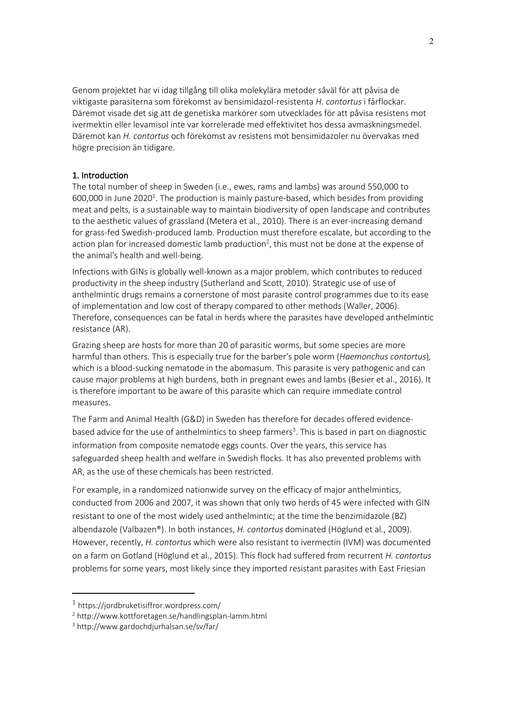Genom projektet har vi idag tillgång till olika molekylära metoder såväl för att påvisa de viktigaste parasiterna som förekomst av bensimidazol-resistenta *H. contortus* i fårflockar. Däremot visade det sig att de genetiska markörer som utvecklades för att påvisa resistens mot ivermektin eller levamisol inte var korrelerade med effektivitet hos dessa avmaskningsmedel. Däremot kan *H. contortus* och förekomst av resistens mot bensimidazoler nu övervakas med högre precision än tidigare.

# 1. Introduction

The total number of sheep in Sweden (i.e., ewes, rams and lambs) was around 550,000 to 600,000 in June 2020<sup>1</sup>. The production is mainly pasture-based, which besides from providing meat and pelts, is a sustainable way to maintain biodiversity of open landscape and contributes to the aesthetic values of grassland (Metera et al., 2010). There is an ever-increasing demand for grass-fed Swedish-produced lamb. Production must therefore escalate, but according to the action plan for increased domestic lamb production<sup>2</sup>, this must not be done at the expense of the animal's health and well-being.

Infections with GINs is globally well-known as a major problem, which contributes to reduced productivity in the sheep industry (Sutherland and Scott, 2010). Strategic use of use of anthelmintic drugs remains a cornerstone of most parasite control programmes due to its ease of implementation and low cost of therapy compared to other methods (Waller, 2006). Therefore, consequences can be fatal in herds where the parasites have developed anthelmintic resistance (AR).

Grazing sheep are hosts for more than 20 of parasitic worms, but some species are more harmful than others. This is especially true for the barber's pole worm (*Haemonchus contortus*)*,*  which is a blood-sucking nematode in the abomasum. This parasite is very pathogenic and can cause major problems at high burdens, both in pregnant ewes and lambs (Besier et al., 2016). It is therefore important to be aware of this parasite which can require immediate control measures.

The Farm and Animal Health (G&D) in Sweden has therefore for decades offered evidencebased advice for the use of anthelmintics to sheep farmers<sup>3</sup>. This is based in part on diagnostic information from composite nematode eggs counts. Over the years, this service has safeguarded sheep health and welfare in Swedish flocks. It has also prevented problems with AR, as the use of these chemicals has been restricted.

For example, in a randomized nationwide survey on the efficacy of major anthelmintics, conducted from 2006 and 2007, it was shown that only two herds of 45 were infected with GIN resistant to one of the most widely used anthelmintic; at the time the benzimidazole (BZ) albendazole (Valbazen®). In both instances, *H. contortus* dominated (Höglund et al., 2009). However, recently, *H. contortus* which were also resistant to ivermectin (IVM) was documented on a farm on Gotland (Höglund et al., 2015). This flock had suffered from recurrent *H. contortus* problems for some years, most likely since they imported resistant parasites with East Friesian

 $1$  https://jordbruketisiffror.wordpress.com/

<sup>2</sup> http://www.kottforetagen.se/handlingsplan-lamm.html

<sup>3</sup> http://www.gardochdjurhalsan.se/sv/far/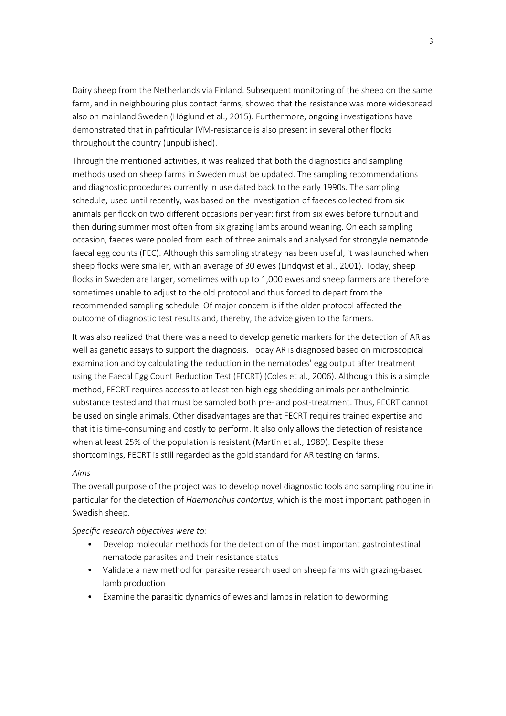Dairy sheep from the Netherlands via Finland. Subsequent monitoring of the sheep on the same farm, and in neighbouring plus contact farms, showed that the resistance was more widespread also on mainland Sweden (Höglund et al., 2015). Furthermore, ongoing investigations have demonstrated that in pafrticular IVM-resistance is also present in several other flocks throughout the country (unpublished).

Through the mentioned activities, it was realized that both the diagnostics and sampling methods used on sheep farms in Sweden must be updated. The sampling recommendations and diagnostic procedures currently in use dated back to the early 1990s. The sampling schedule, used until recently, was based on the investigation of faeces collected from six animals per flock on two different occasions per year: first from six ewes before turnout and then during summer most often from six grazing lambs around weaning. On each sampling occasion, faeces were pooled from each of three animals and analysed for strongyle nematode faecal egg counts (FEC). Although this sampling strategy has been useful, it was launched when sheep flocks were smaller, with an average of 30 ewes (Lindqvist et al., 2001). Today, sheep flocks in Sweden are larger, sometimes with up to 1,000 ewes and sheep farmers are therefore sometimes unable to adjust to the old protocol and thus forced to depart from the recommended sampling schedule. Of major concern is if the older protocol affected the outcome of diagnostic test results and, thereby, the advice given to the farmers.

It was also realized that there was a need to develop genetic markers for the detection of AR as well as genetic assays to support the diagnosis. Today AR is diagnosed based on microscopical examination and by calculating the reduction in the nematodes' egg output after treatment using the Faecal Egg Count Reduction Test (FECRT) (Coles et al., 2006). Although this is a simple method, FECRT requires access to at least ten high egg shedding animals per anthelmintic substance tested and that must be sampled both pre- and post-treatment. Thus, FECRT cannot be used on single animals. Other disadvantages are that FECRT requires trained expertise and that it is time-consuming and costly to perform. It also only allows the detection of resistance when at least 25% of the population is resistant (Martin et al., 1989). Despite these shortcomings, FECRT is still regarded as the gold standard for AR testing on farms.

# *Aims*

The overall purpose of the project was to develop novel diagnostic tools and sampling routine in particular for the detection of *Haemonchus contortus*, which is the most important pathogen in Swedish sheep.

# *Specific research objectives were to:*

- Develop molecular methods for the detection of the most important gastrointestinal nematode parasites and their resistance status
- Validate a new method for parasite research used on sheep farms with grazing-based lamb production
- Examine the parasitic dynamics of ewes and lambs in relation to deworming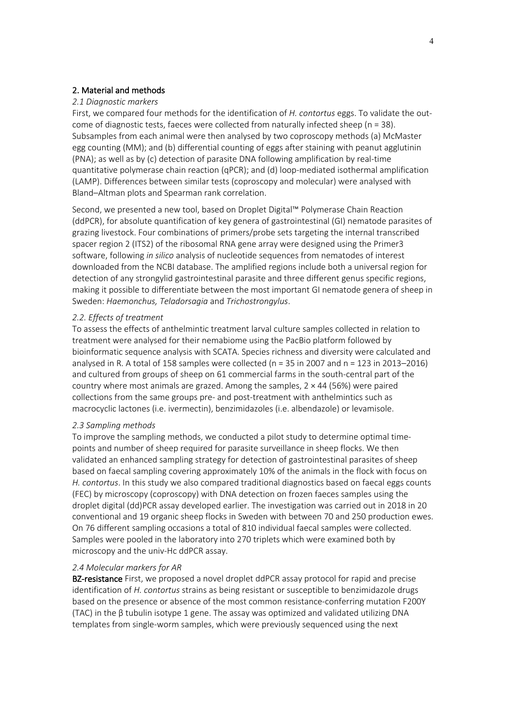# 2. Material and methods

#### *2.1 Diagnostic markers*

First, we compared four methods for the identification of *H. contortus* eggs. To validate the outcome of diagnostic tests, faeces were collected from naturally infected sheep (n = 38). Subsamples from each animal were then analysed by two coproscopy methods (a) McMaster egg counting (MM); and (b) differential counting of eggs after staining with peanut agglutinin (PNA); as well as by (c) detection of parasite DNA following amplification by real-time quantitative polymerase chain reaction (qPCR); and (d) loop-mediated isothermal amplification (LAMP). Differences between similar tests (coproscopy and molecular) were analysed with Bland–Altman plots and Spearman rank correlation.

Second, we presented a new tool, based on Droplet Digital™ Polymerase Chain Reaction (ddPCR), for absolute quantification of key genera of gastrointestinal (GI) nematode parasites of grazing livestock. Four combinations of primers/probe sets targeting the internal transcribed spacer region 2 (ITS2) of the ribosomal RNA gene array were designed using the Primer3 software, following *in silico* analysis of nucleotide sequences from nematodes of interest downloaded from the NCBI database. The amplified regions include both a universal region for detection of any strongylid gastrointestinal parasite and three different genus specific regions, making it possible to differentiate between the most important GI nematode genera of sheep in Sweden: *Haemonchus, Teladorsagia* and *Trichostrongylus*.

### *2.2. Effects of treatment*

To assess the effects of anthelmintic treatment larval culture samples collected in relation to treatment were analysed for their nemabiome using the PacBio platform followed by bioinformatic sequence analysis with SCATA. Species richness and diversity were calculated and analysed in R. A total of 158 samples were collected (n = 35 in 2007 and n = 123 in 2013–2016) and cultured from groups of sheep on 61 commercial farms in the south-central part of the country where most animals are grazed. Among the samples,  $2 \times 44$  (56%) were paired collections from the same groups pre- and post-treatment with anthelmintics such as macrocyclic lactones (i.e. ivermectin), benzimidazoles (i.e. albendazole) or levamisole.

# *2.3 Sampling methods*

To improve the sampling methods, we conducted a pilot study to determine optimal timepoints and number of sheep required for parasite surveillance in sheep flocks. We then validated an enhanced sampling strategy for detection of gastrointestinal parasites of sheep based on faecal sampling covering approximately 10% of the animals in the flock with focus on *H. contortus*. In this study we also compared traditional diagnostics based on faecal eggs counts (FEC) by microscopy (coproscopy) with DNA detection on frozen faeces samples using the droplet digital (dd)PCR assay developed earlier. The investigation was carried out in 2018 in 20 conventional and 19 organic sheep flocks in Sweden with between 70 and 250 production ewes. On 76 different sampling occasions a total of 810 individual faecal samples were collected. Samples were pooled in the laboratory into 270 triplets which were examined both by microscopy and the univ-Hc ddPCR assay.

#### *2.4 Molecular markers for AR*

**BZ-resistance** First, we proposed a novel droplet ddPCR assay protocol for rapid and precise identification of *H. contortus* strains as being resistant or susceptible to benzimidazole drugs based on the presence or absence of the most common resistance-conferring mutation F200Y (TAC) in the β tubulin isotype 1 gene. The assay was optimized and validated utilizing DNA templates from single-worm samples, which were previously sequenced using the next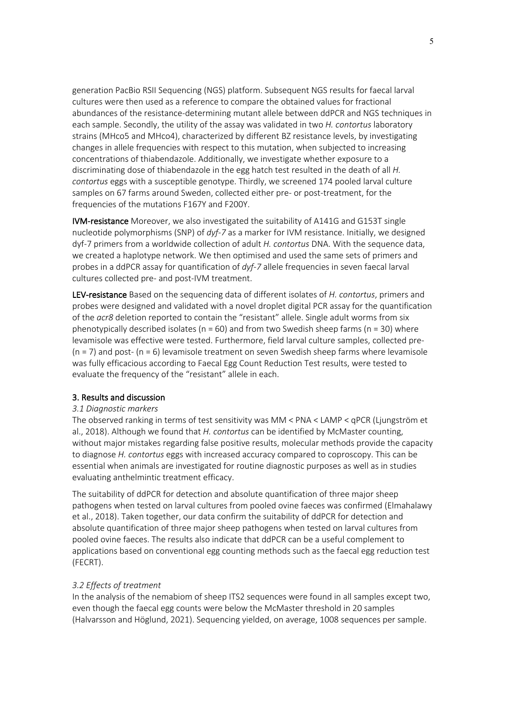generation PacBio RSII Sequencing (NGS) platform. Subsequent NGS results for faecal larval cultures were then used as a reference to compare the obtained values for fractional abundances of the resistance-determining mutant allele between ddPCR and NGS techniques in each sample. Secondly, the utility of the assay was validated in two *H. contortus* laboratory strains (MHco5 and MHco4), characterized by different BZ resistance levels, by investigating changes in allele frequencies with respect to this mutation, when subjected to increasing concentrations of thiabendazole. Additionally, we investigate whether exposure to a discriminating dose of thiabendazole in the egg hatch test resulted in the death of all *H. contortus* eggs with a susceptible genotype. Thirdly, we screened 174 pooled larval culture samples on 67 farms around Sweden, collected either pre- or post-treatment, for the frequencies of the mutations F167Y and F200Y.

IVM-resistance Moreover, we also investigated the suitability of A141G and G153T single nucleotide polymorphisms (SNP) of *dyf-7* as a marker for IVM resistance. Initially, we designed dyf-7 primers from a worldwide collection of adult *H. contortus* DNA. With the sequence data, we created a haplotype network. We then optimised and used the same sets of primers and probes in a ddPCR assay for quantification of *dyf-7* allele frequencies in seven faecal larval cultures collected pre- and post-IVM treatment.

LEV-resistance Based on the sequencing data of different isolates of *H. contortus*, primers and probes were designed and validated with a novel droplet digital PCR assay for the quantification of the *acr8* deletion reported to contain the "resistant" allele. Single adult worms from six phenotypically described isolates ( $n = 60$ ) and from two Swedish sheep farms ( $n = 30$ ) where levamisole was effective were tested. Furthermore, field larval culture samples, collected pre-  $(n = 7)$  and post- $(n = 6)$  levamisole treatment on seven Swedish sheep farms where levamisole was fully efficacious according to Faecal Egg Count Reduction Test results, were tested to evaluate the frequency of the "resistant" allele in each.

# 3. Results and discussion

# *3.1 Diagnostic markers*

The observed ranking in terms of test sensitivity was MM < PNA < LAMP < qPCR (Ljungström et al., 2018). Although we found that *H. contortus* can be identified by McMaster counting, without major mistakes regarding false positive results, molecular methods provide the capacity to diagnose *H. contortus* eggs with increased accuracy compared to coproscopy. This can be essential when animals are investigated for routine diagnostic purposes as well as in studies evaluating anthelmintic treatment efficacy.

The suitability of ddPCR for detection and absolute quantification of three major sheep pathogens when tested on larval cultures from pooled ovine faeces was confirmed (Elmahalawy et al., 2018). Taken together, our data confirm the suitability of ddPCR for detection and absolute quantification of three major sheep pathogens when tested on larval cultures from pooled ovine faeces. The results also indicate that ddPCR can be a useful complement to applications based on conventional egg counting methods such as the faecal egg reduction test (FECRT).

# *3.2 Effects of treatment*

In the analysis of the nemabiom of sheep ITS2 sequences were found in all samples except two, even though the faecal egg counts were below the McMaster threshold in 20 samples (Halvarsson and Höglund, 2021). Sequencing yielded, on average, 1008 sequences per sample.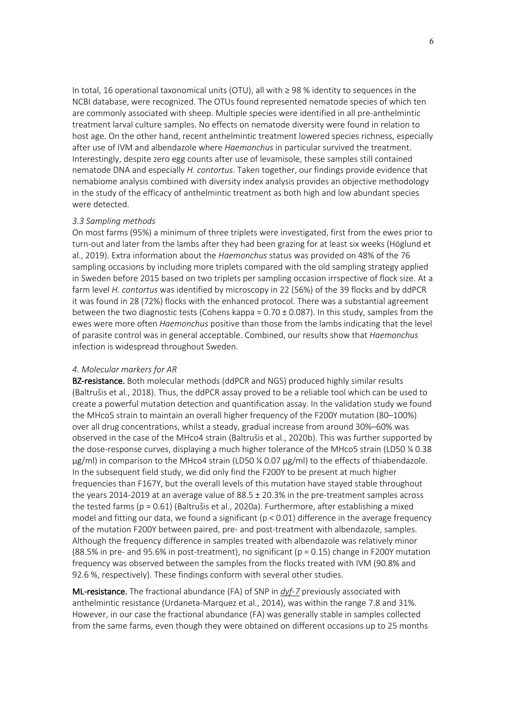In total, 16 operational taxonomical units (OTU), all with ≥ 98 % identity to sequences in the NCBI database, were recognized. The OTUs found represented nematode species of which ten are commonly associated with sheep. Multiple species were identified in all pre-anthelmintic treatment larval culture samples. No effects on nematode diversity were found in relation to host age. On the other hand, recent anthelmintic treatment lowered species richness, especially after use of IVM and albendazole where *Haemonchus* in particular survived the treatment. Interestingly, despite zero egg counts after use of levamisole, these samples still contained nematode DNA and especially *H. contortus*. Taken together, our findings provide evidence that nemabiome analysis combined with diversity index analysis provides an objective methodology in the study of the efficacy of anthelmintic treatment as both high and low abundant species were detected.

#### *3.3 Sampling methods*

On most farms (95%) a minimum of three triplets were investigated, first from the ewes prior to turn-out and later from the lambs after they had been grazing for at least six weeks (Höglund et al., 2019). Extra information about the *Haemonchus* status was provided on 48% of the 76 sampling occasions by including more triplets compared with the old sampling strategy applied in Sweden before 2015 based on two triplets per sampling occasion irrspective of flock size. At a farm level *H. contortus* was identified by microscopy in 22 (56%) of the 39 flocks and by ddPCR it was found in 28 (72%) flocks with the enhanced protocol. There was a substantial agreement between the two diagnostic tests (Cohens kappa =  $0.70 \pm 0.087$ ). In this study, samples from the ewes were more often *Haemonchus* positive than those from the lambs indicating that the level of parasite control was in general acceptable. Combined, our results show that *Haemonchus* infection is widespread throughout Sweden.

#### *4. Molecular markers for AR*

BZ-resistance. Both molecular methods (ddPCR and NGS) produced highly similar results (Baltrušis et al., 2018). Thus, the ddPCR assay proved to be a reliable tool which can be used to create a powerful mutation detection and quantification assay. In the validation study we found the MHco5 strain to maintain an overall higher frequency of the F200Y mutation (80–100%) over all drug concentrations, whilst a steady, gradual increase from around 30%–60% was observed in the case of the MHco4 strain (Baltrušis et al., 2020b). This was further supported by the dose-response curves, displaying a much higher tolerance of the MHco5 strain (LD50 % 0.38 μg/ml) in comparison to the MHco4 strain (LD50 ¼ 0.07 μg/ml) to the effects of thiabendazole. In the subsequent field study, we did only find the F200Y to be present at much higher frequencies than F167Y, but the overall levels of this mutation have stayed stable throughout the years 2014-2019 at an average value of 88.5 ± 20.3% in the pre-treatment samples across the tested farms (p = 0.61) (Baltrušis et al., 2020a). Furthermore, after establishing a mixed model and fitting our data, we found a significant ( $p < 0.01$ ) difference in the average frequency of the mutation F200Y between paired, pre- and post-treatment with albendazole, samples. Although the frequency difference in samples treated with albendazole was relatively minor (88.5% in pre- and 95.6% in post-treatment), no significant (p = 0.15) change in F200Y mutation frequency was observed between the samples from the flocks treated with IVM (90.8% and 92.6 %, respectively). These findings conform with several other studies.

ML-resistance. The fractional abundance (FA) of SNP in *dyf-7* previously associated with anthelmintic resistance (Urdaneta-Marquez et al., 2014), was within the range 7.8 and 31%. However, in our case the fractional abundance (FA) was generally stable in samples collected from the same farms, even though they were obtained on different occasions up to 25 months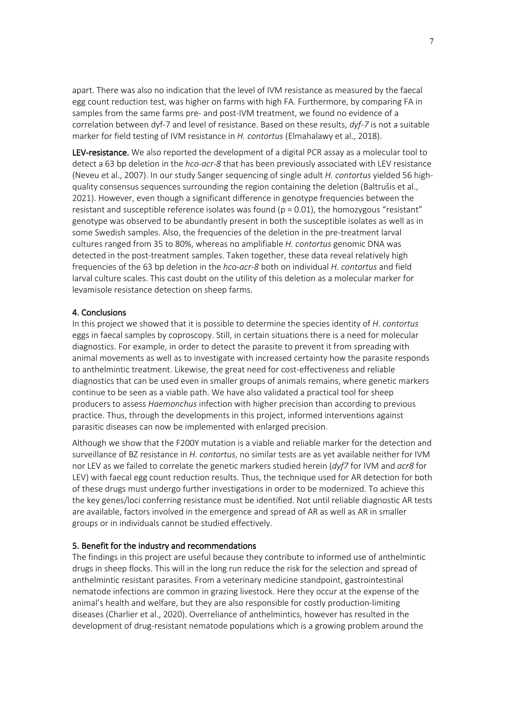apart. There was also no indication that the level of IVM resistance as measured by the faecal egg count reduction test, was higher on farms with high FA. Furthermore, by comparing FA in samples from the same farms pre- and post-IVM treatment, we found no evidence of a correlation between dyf-7 and level of resistance. Based on these results, *dyf-7* is not a suitable marker for field testing of IVM resistance in *H. contortus* (Elmahalawy et al., 2018).

LEV-resistance. We also reported the development of a digital PCR assay as a molecular tool to detect a 63 bp deletion in the *hco-acr-8* that has been previously associated with LEV resistance (Neveu et al., 2007). In our study Sanger sequencing of single adult *H. contortus* yielded 56 highquality consensus sequences surrounding the region containing the deletion (Baltrušis et al., 2021). However, even though a significant difference in genotype frequencies between the resistant and susceptible reference isolates was found ( $p = 0.01$ ), the homozygous "resistant" genotype was observed to be abundantly present in both the susceptible isolates as well as in some Swedish samples. Also, the frequencies of the deletion in the pre-treatment larval cultures ranged from 35 to 80%, whereas no amplifiable *H. contortus* genomic DNA was detected in the post-treatment samples. Taken together, these data reveal relatively high frequencies of the 63 bp deletion in the *hco-acr-8* both on individual *H. contortus* and field larval culture scales. This cast doubt on the utility of this deletion as a molecular marker for levamisole resistance detection on sheep farms.

#### 4. Conclusions

In this project we showed that it is possible to determine the species identity of *H. contortus* eggs in faecal samples by coproscopy. Still, in certain situations there is a need for molecular diagnostics. For example, in order to detect the parasite to prevent it from spreading with animal movements as well as to investigate with increased certainty how the parasite responds to anthelmintic treatment. Likewise, the great need for cost-effectiveness and reliable diagnostics that can be used even in smaller groups of animals remains, where genetic markers continue to be seen as a viable path. We have also validated a practical tool for sheep producers to assess *Haemonchus* infection with higher precision than according to previous practice. Thus, through the developments in this project, informed interventions against parasitic diseases can now be implemented with enlarged precision.

Although we show that the F200Y mutation is a viable and reliable marker for the detection and surveillance of BZ resistance in *H. contortus*, no similar tests are as yet available neither for IVM nor LEV as we failed to correlate the genetic markers studied herein (*dyf7* for IVM and *acr8* for LEV) with faecal egg count reduction results. Thus, the technique used for AR detection for both of these drugs must undergo further investigations in order to be modernized. To achieve this the key genes/loci conferring resistance must be identified. Not until reliable diagnostic AR tests are available, factors involved in the emergence and spread of AR as well as AR in smaller groups or in individuals cannot be studied effectively.

### 5. Benefit for the industry and recommendations

The findings in this project are useful because they contribute to informed use of anthelmintic drugs in sheep flocks. This will in the long run reduce the risk for the selection and spread of anthelmintic resistant parasites. From a veterinary medicine standpoint, gastrointestinal nematode infections are common in grazing livestock. Here they occur at the expense of the animal's health and welfare, but they are also responsible for costly production-limiting diseases (Charlier et al., 2020). Overreliance of anthelmintics, however has resulted in the development of drug-resistant nematode populations which is a growing problem around the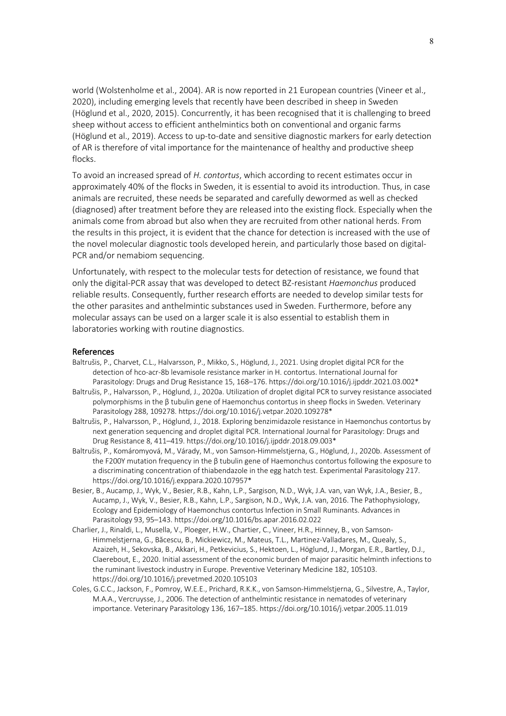world (Wolstenholme et al., 2004). AR is now reported in 21 European countries (Vineer et al., 2020), including emerging levels that recently have been described in sheep in Sweden (Höglund et al., 2020, 2015). Concurrently, it has been recognised that it is challenging to breed sheep without access to efficient anthelmintics both on conventional and organic farms (Höglund et al., 2019). Access to up-to-date and sensitive diagnostic markers for early detection of AR is therefore of vital importance for the maintenance of healthy and productive sheep flocks.

To avoid an increased spread of *H. contortus*, which according to recent estimates occur in approximately 40% of the flocks in Sweden, it is essential to avoid its introduction. Thus, in case animals are recruited, these needs be separated and carefully dewormed as well as checked (diagnosed) after treatment before they are released into the existing flock. Especially when the animals come from abroad but also when they are recruited from other national herds. From the results in this project, it is evident that the chance for detection is increased with the use of the novel molecular diagnostic tools developed herein, and particularly those based on digital-PCR and/or nemabiom sequencing.

Unfortunately, with respect to the molecular tests for detection of resistance, we found that only the digital-PCR assay that was developed to detect BZ-resistant *Haemonchus* produced reliable results. Consequently, further research efforts are needed to develop similar tests for the other parasites and anthelmintic substances used in Sweden. Furthermore, before any molecular assays can be used on a larger scale it is also essential to establish them in laboratories working with routine diagnostics.

#### References

- Baltrušis, P., Charvet, C.L., Halvarsson, P., Mikko, S., Höglund, J., 2021. Using droplet digital PCR for the detection of hco-acr-8b levamisole resistance marker in H. contortus. International Journal for Parasitology: Drugs and Drug Resistance 15, 168–176. https://doi.org/10.1016/j.ijpddr.2021.03.002\*
- Baltrušis, P., Halvarsson, P., Höglund, J., 2020a. Utilization of droplet digital PCR to survey resistance associated polymorphisms in the β tubulin gene of Haemonchus contortus in sheep flocks in Sweden. Veterinary Parasitology 288, 109278. https://doi.org/10.1016/j.vetpar.2020.109278\*
- Baltrušis, P., Halvarsson, P., Höglund, J., 2018. Exploring benzimidazole resistance in Haemonchus contortus by next generation sequencing and droplet digital PCR. International Journal for Parasitology: Drugs and Drug Resistance 8, 411–419. https://doi.org/10.1016/j.ijpddr.2018.09.003\*
- Baltrušis, P., Komáromyová, M., Várady, M., von Samson-Himmelstjerna, G., Höglund, J., 2020b. Assessment of the F200Y mutation frequency in the β tubulin gene of Haemonchus contortus following the exposure to a discriminating concentration of thiabendazole in the egg hatch test. Experimental Parasitology 217. https://doi.org/10.1016/j.exppara.2020.107957\*
- Besier, B., Aucamp, J., Wyk, V., Besier, R.B., Kahn, L.P., Sargison, N.D., Wyk, J.A. van, van Wyk, J.A., Besier, B., Aucamp, J., Wyk, V., Besier, R.B., Kahn, L.P., Sargison, N.D., Wyk, J.A. van, 2016. The Pathophysiology, Ecology and Epidemiology of Haemonchus contortus Infection in Small Ruminants. Advances in Parasitology 93, 95–143. https://doi.org/10.1016/bs.apar.2016.02.022
- Charlier, J., Rinaldi, L., Musella, V., Ploeger, H.W., Chartier, C., Vineer, H.R., Hinney, B., von Samson-Himmelstjerna, G., Băcescu, B., Mickiewicz, M., Mateus, T.L., Martinez-Valladares, M., Quealy, S., Azaizeh, H., Sekovska, B., Akkari, H., Petkevicius, S., Hektoen, L., Höglund, J., Morgan, E.R., Bartley, D.J., Claerebout, E., 2020. Initial assessment of the economic burden of major parasitic helminth infections to the ruminant livestock industry in Europe. Preventive Veterinary Medicine 182, 105103. https://doi.org/10.1016/j.prevetmed.2020.105103
- Coles, G.C.C., Jackson, F., Pomroy, W.E.E., Prichard, R.K.K., von Samson-Himmelstjerna, G., Silvestre, A., Taylor, M.A.A., Vercruysse, J., 2006. The detection of anthelmintic resistance in nematodes of veterinary importance. Veterinary Parasitology 136, 167–185. https://doi.org/10.1016/j.vetpar.2005.11.019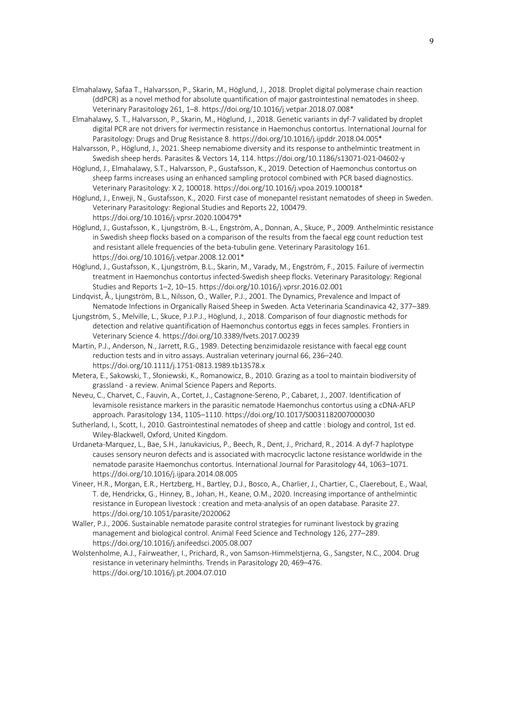- Elmahalawy, Safaa T., Halvarsson, P., Skarin, M., Höglund, J., 2018. Droplet digital polymerase chain reaction (ddPCR) as a novel method for absolute quantification of major gastrointestinal nematodes in sheep. Veterinary Parasitology 261, 1–8. https://doi.org/10.1016/j.vetpar.2018.07.008\*
- Elmahalawy, S. T., Halvarsson, P., Skarin, M., Höglund, J., 2018. Genetic variants in dyf-7 validated by droplet digital PCR are not drivers for ivermectin resistance in Haemonchus contortus. International Journal for Parasitology: Drugs and Drug Resistance 8. https://doi.org/10.1016/j.ijpddr.2018.04.005\*
- Halvarsson, P., Höglund, J., 2021. Sheep nemabiome diversity and its response to anthelmintic treatment in Swedish sheep herds. Parasites & Vectors 14, 114. https://doi.org/10.1186/s13071-021-04602-y
- Höglund, J., Elmahalawy, S.T., Halvarsson, P., Gustafsson, K., 2019. Detection of Haemonchus contortus on sheep farms increases using an enhanced sampling protocol combined with PCR based diagnostics. Veterinary Parasitology: X 2, 100018. https://doi.org/10.1016/j.vpoa.2019.100018\*
- Höglund, J., Enweji, N., Gustafsson, K., 2020. First case of monepantel resistant nematodes of sheep in Sweden. Veterinary Parasitology: Regional Studies and Reports 22, 100479. https://doi.org/10.1016/j.vprsr.2020.100479\*
- Höglund, J., Gustafsson, K., Ljungström, B.-L., Engström, A., Donnan, A., Skuce, P., 2009. Anthelmintic resistance in Swedish sheep flocks based on a comparison of the results from the faecal egg count reduction test and resistant allele frequencies of the beta-tubulin gene. Veterinary Parasitology 161. https://doi.org/10.1016/j.vetpar.2008.12.001\*
- Höglund, J., Gustafsson, K., Ljungström, B.L., Skarin, M., Varady, M., Engström, F., 2015. Failure of ivermectin treatment in Haemonchus contortus infected-Swedish sheep flocks. Veterinary Parasitology: Regional Studies and Reports 1–2, 10–15. https://doi.org/10.1016/j.vprsr.2016.02.001
- Lindqvist, Å., Ljungström, B.L., Nilsson, O., Waller, P.J., 2001. The Dynamics, Prevalence and Impact of Nematode Infections in Organically Raised Sheep in Sweden. Acta Veterinaria Scandinavica 42, 377–389.
- Ljungström, S., Melville, L., Skuce, P.J.P.J., Höglund, J., 2018. Comparison of four diagnostic methods for detection and relative quantification of Haemonchus contortus eggs in feces samples. Frontiers in Veterinary Science 4. https://doi.org/10.3389/fvets.2017.00239
- Martin, P.J., Anderson, N., Jarrett, R.G., 1989. Detecting benzimidazole resistance with faecal egg count reduction tests and in vitro assays. Australian veterinary journal 66, 236–240. https://doi.org/10.1111/j.1751-0813.1989.tb13578.x
- Metera, E., Sakowski, T., Słoniewski, K., Romanowicz, B., 2010. Grazing as a tool to maintain biodiversity of grassland - a review. Animal Science Papers and Reports.
- Neveu, C., Charvet, C., Fauvin, A., Cortet, J., Castagnone-Sereno, P., Cabaret, J., 2007. Identification of levamisole resistance markers in the parasitic nematode Haemonchus contortus using a cDNA-AFLP approach. Parasitology 134, 1105–1110. https://doi.org/10.1017/S0031182007000030
- Sutherland, I., Scott, I., 2010. Gastrointestinal nematodes of sheep and cattle : biology and control, 1st ed. Wiley-Blackwell, Oxford, United Kingdom.
- Urdaneta-Marquez, L., Bae, S.H., Janukavicius, P., Beech, R., Dent, J., Prichard, R., 2014. A dyf-7 haplotype causes sensory neuron defects and is associated with macrocyclic lactone resistance worldwide in the nematode parasite Haemonchus contortus. International Journal for Parasitology 44, 1063–1071. https://doi.org/10.1016/j.ijpara.2014.08.005
- Vineer, H.R., Morgan, E.R., Hertzberg, H., Bartley, D.J., Bosco, A., Charlier, J., Chartier, C., Claerebout, E., Waal, T. de, Hendrickx, G., Hinney, B., Johan, H., Keane, O.M., 2020. Increasing importance of anthelmintic resistance in European livestock : creation and meta-analysis of an open database. Parasite 27. https://doi.org/10.1051/parasite/2020062
- Waller, P.J., 2006. Sustainable nematode parasite control strategies for ruminant livestock by grazing management and biological control. Animal Feed Science and Technology 126, 277–289. https://doi.org/10.1016/j.anifeedsci.2005.08.007
- Wolstenholme, A.J., Fairweather, I., Prichard, R., von Samson-Himmelstjerna, G., Sangster, N.C., 2004. Drug resistance in veterinary helminths. Trends in Parasitology 20, 469–476. https://doi.org/10.1016/j.pt.2004.07.010